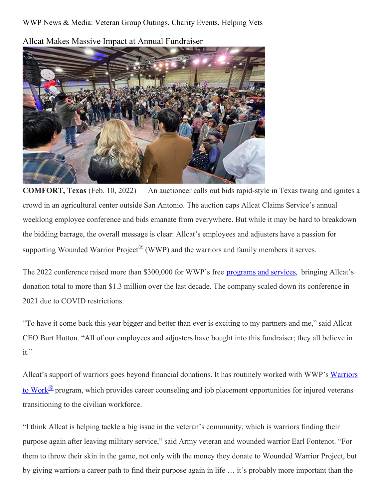WWP News & Media: Veteran Group Outings, Charity Events, Helping Vets



Allcat Makes Massive Impact at Annual Fundraiser

**COMFORT, Texas** (Feb. 10, 2022) — An auctioneer calls out bids rapid-style in Texas twang and ignites a crowd in an agricultural center outside San Antonio. The auction caps Allcat Claims Service's annual weeklong employee conference and bids emanate from everywhere. But while it may be hard to breakdown the bidding barrage, the overall message is clear: Allcat's employees and adjusters have a passion for supporting Wounded Warrior Project<sup>®</sup> (WWP) and the warriors and family members it serves.

The 2022 conference raised more than \$300,000 for WWP's free [programs](https://www.woundedwarriorproject.org/programs/) and services, bringing Allcat's donation total to more than \$1.3 million over the last decade. The company scaled down its conference in 2021 due to COVID restrictions.

"To have it come back this year bigger and better than ever is exciting to my partners and me," said Allcat CEO Burt Hutton. "All of our employees and adjusters have bought into this fundraiser; they all believe in it."

Allcat's support of warriors goes beyond financial donations. It has routinely worked with WWP's Warriors to Work<sup>®</sup> program, which provides career counseling and job placement [opportunities](https://www.woundedwarriorproject.org/programs/warriors-to-work) for injured veterans transitioning to the civilian workforce.

"I think Allcat is helping tackle a big issue in the veteran's community, which is warriors finding their purpose again after leaving military service," said Army veteran and wounded warrior Earl Fontenot. "For them to throw their skin in the game, not only with the money they donate to Wounded Warrior Project, but by giving warriors a career path to find their purpose again in life … it's probably more important than the